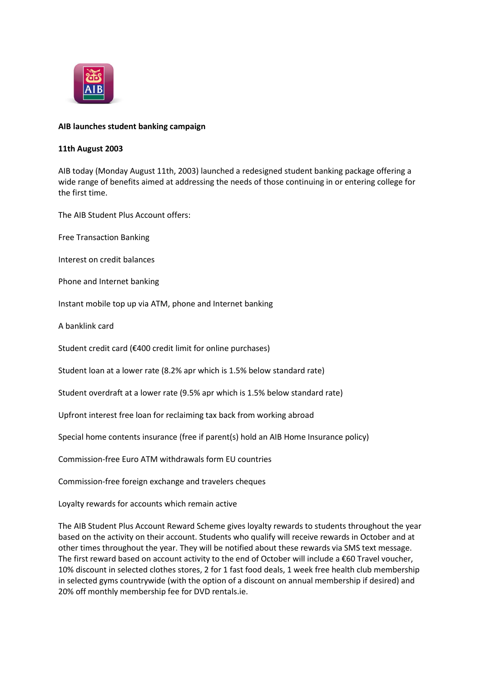

## **AIB launches student banking campaign**

## **11th August 2003**

AIB today (Monday August 11th, 2003) launched a redesigned student banking package offering a wide range of benefits aimed at addressing the needs of those continuing in or entering college for the first time.

The AIB Student Plus Account offers:

Free Transaction Banking

Interest on credit balances

Phone and Internet banking

Instant mobile top up via ATM, phone and Internet banking

A banklink card

Student credit card (€400 credit limit for online purchases)

Student loan at a lower rate (8.2% apr which is 1.5% below standard rate)

Student overdraft at a lower rate (9.5% apr which is 1.5% below standard rate)

Upfront interest free loan for reclaiming tax back from working abroad

Special home contents insurance (free if parent(s) hold an AIB Home Insurance policy)

Commission-free Euro ATM withdrawals form EU countries

Commission-free foreign exchange and travelers cheques

Loyalty rewards for accounts which remain active

The AIB Student Plus Account Reward Scheme gives loyalty rewards to students throughout the year based on the activity on their account. Students who qualify will receive rewards in October and at other times throughout the year. They will be notified about these rewards via SMS text message. The first reward based on account activity to the end of October will include a  $\epsilon$ 60 Travel voucher, 10% discount in selected clothes stores, 2 for 1 fast food deals, 1 week free health club membership in selected gyms countrywide (with the option of a discount on annual membership if desired) and 20% off monthly membership fee for DVD rentals.ie.